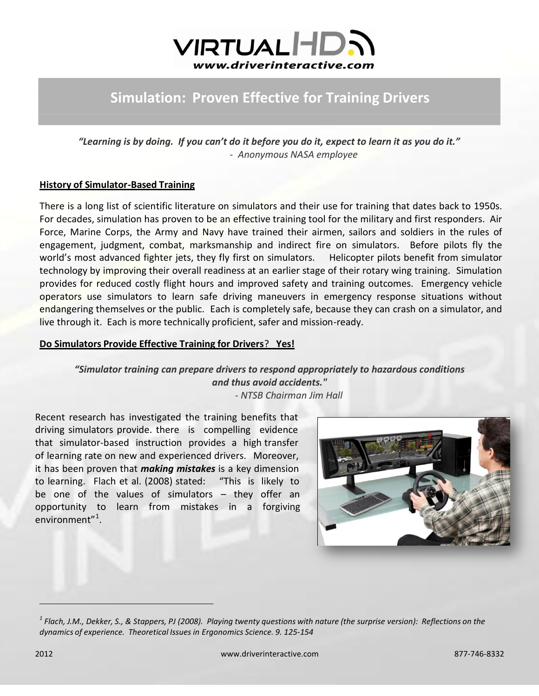

## **Simulation: Proven Effective for Training Drivers**

*"Learning is by doing. If you can't do it before you do it, expect to learn it as you do it." - Anonymous NASA employee*

## **History of Simulator-Based Training**

There is a long list of scientific literature on simulators and their use for training that dates back to 1950s. For decades, simulation has proven to be an effective training tool for the military and first responders. Air Force, Marine Corps, the Army and Navy have trained their airmen, sailors and soldiers in the rules of engagement, judgment, combat, marksmanship and indirect fire on simulators. Before pilots fly the world's most advanced fighter jets, they fly first on simulators. Helicopter pilots benefit from simulator technology by improving their overall readiness at an earlier stage of their rotary wing training. Simulation provides for reduced costly flight hours and improved safety and training outcomes. Emergency vehicle operators use simulators to learn safe driving maneuvers in emergency response situations without endangering themselves or the public. Each is completely safe, because they can crash on a simulator, and live through it. Each is more technically proficient, safer and mission-ready.

## **Do Simulators Provide Effective Training for Drivers**? **Yes!**

*"Simulator training can prepare drivers to respond appropriately to hazardous conditions and thus avoid accidents." - NTSB Chairman Jim Hall*

Recent research has investigated the training benefits that driving simulators provide. there is compelling evidence that simulator-based instruction provides a high transfer of learning rate on new and experienced drivers. Moreover, it has been proven that *making mistakes* is a key dimension to learning. Flach et al. (2008) stated: "This is likely to be one of the values of simulators – they offer an opportunity to learn from mistakes in a forgiving environment"<sup>1</sup>.



 $^1$  Flach, J.M., Dekker, S., & Stappers, PJ (2008). Playing twenty questions with nature (the surprise version): Reflections on the *dynamics of experience. Theoretical Issues in Ergonomics Science. 9. 125-154*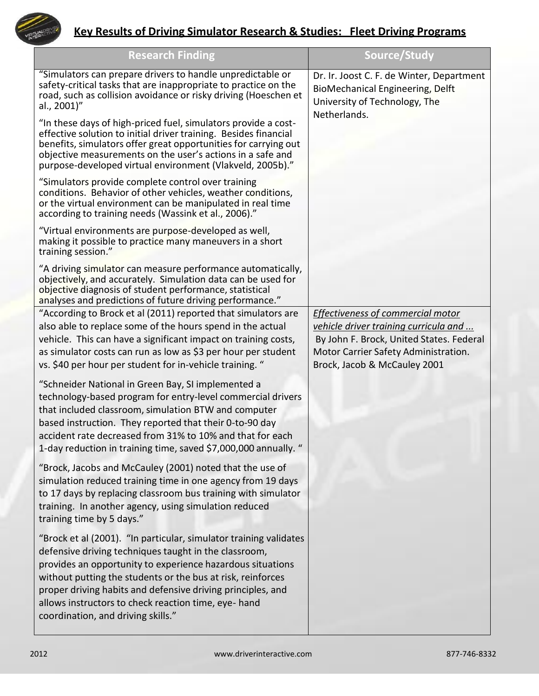

## **Key Results of Driving Simulator Research & Studies: Fleet Driving Programs**

| <b>Research Finding</b>                                                                                                                                                                                                                                                                                                                                                                                              | Source/Study                                                                                                                                                                                          |
|----------------------------------------------------------------------------------------------------------------------------------------------------------------------------------------------------------------------------------------------------------------------------------------------------------------------------------------------------------------------------------------------------------------------|-------------------------------------------------------------------------------------------------------------------------------------------------------------------------------------------------------|
| "Simulators can prepare drivers to handle unpredictable or<br>safety-critical tasks that are inappropriate to practice on the<br>road, such as collision avoidance or risky driving (Hoeschen et<br>al., 2001)"                                                                                                                                                                                                      | Dr. Ir. Joost C. F. de Winter, Department<br>BioMechanical Engineering, Delft<br>University of Technology, The<br>Netherlands.                                                                        |
| "In these days of high-priced fuel, simulators provide a cost-<br>effective solution to initial driver training. Besides financial<br>benefits, simulators offer great opportunities for carrying out<br>objective measurements on the user's actions in a safe and<br>purpose-developed virtual environment (Vlakveld, 2005b)."                                                                                     |                                                                                                                                                                                                       |
| "Simulators provide complete control over training<br>conditions. Behavior of other vehicles, weather conditions,<br>or the virtual environment can be manipulated in real time<br>according to training needs (Wassink et al., 2006)."                                                                                                                                                                              |                                                                                                                                                                                                       |
| "Virtual environments are purpose-developed as well,<br>making it possible to practice many maneuvers in a short<br>training session."                                                                                                                                                                                                                                                                               |                                                                                                                                                                                                       |
| "A driving simulator can measure performance automatically,<br>objectively, and accurately. Simulation data can be used for<br>objective diagnosis of student performance, statistical<br>analyses and predictions of future driving performance."                                                                                                                                                                   |                                                                                                                                                                                                       |
| "According to Brock et al (2011) reported that simulators are<br>also able to replace some of the hours spend in the actual<br>vehicle. This can have a significant impact on training costs,<br>as simulator costs can run as low as \$3 per hour per student<br>vs. \$40 per hour per student for in-vehicle training. "                                                                                           | <b>Effectiveness of commercial motor</b><br>vehicle driver training curricula and<br>By John F. Brock, United States. Federal<br>Motor Carrier Safety Administration.<br>Brock, Jacob & McCauley 2001 |
| "Schneider National in Green Bay, SI implemented a<br>technology-based program for entry-level commercial drivers<br>that included classroom, simulation BTW and computer<br>based instruction. They reported that their 0-to-90 day<br>accident rate decreased from 31% to 10% and that for each<br>1-day reduction in training time, saved \$7,000,000 annually. "                                                 |                                                                                                                                                                                                       |
| "Brock, Jacobs and McCauley (2001) noted that the use of<br>simulation reduced training time in one agency from 19 days<br>to 17 days by replacing classroom bus training with simulator<br>training. In another agency, using simulation reduced<br>training time by 5 days."                                                                                                                                       |                                                                                                                                                                                                       |
| "Brock et al (2001). "In particular, simulator training validates<br>defensive driving techniques taught in the classroom,<br>provides an opportunity to experience hazardous situations<br>without putting the students or the bus at risk, reinforces<br>proper driving habits and defensive driving principles, and<br>allows instructors to check reaction time, eye- hand<br>coordination, and driving skills." |                                                                                                                                                                                                       |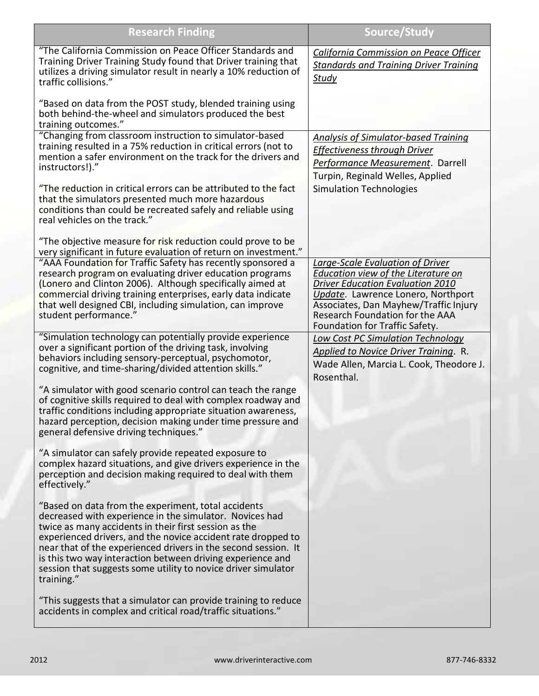| <b>Research Finding</b>                                                                                                                                                                                                                                                                                                                                                                                                                                | Source/Study                                                                                                                                                                                                                                                           |
|--------------------------------------------------------------------------------------------------------------------------------------------------------------------------------------------------------------------------------------------------------------------------------------------------------------------------------------------------------------------------------------------------------------------------------------------------------|------------------------------------------------------------------------------------------------------------------------------------------------------------------------------------------------------------------------------------------------------------------------|
| "The California Commission on Peace Officer Standards and<br>Training Driver Training Study found that Driver training that<br>utilizes a driving simulator result in nearly a 10% reduction of<br>traffic collisions."                                                                                                                                                                                                                                | California Commission on Peace Officer<br><b>Standards and Training Driver Training</b><br>Study                                                                                                                                                                       |
| "Based on data from the POST study, blended training using<br>both behind-the-wheel and simulators produced the best<br>training outcomes."                                                                                                                                                                                                                                                                                                            |                                                                                                                                                                                                                                                                        |
| "Changing from classroom instruction to simulator-based<br>training resulted in a 75% reduction in critical errors (not to<br>mention a safer environment on the track for the drivers and<br>instructors!)."                                                                                                                                                                                                                                          | <b>Analysis of Simulator-based Training</b><br>Effectiveness through Driver<br>Performance Measurement. Darrell<br>Turpin, Reginald Welles, Applied                                                                                                                    |
| "The reduction in critical errors can be attributed to the fact<br>that the simulators presented much more hazardous<br>conditions than could be recreated safely and reliable using<br>real vehicles on the track."                                                                                                                                                                                                                                   | <b>Simulation Technologies</b>                                                                                                                                                                                                                                         |
| "The objective measure for risk reduction could prove to be<br>very significant in future evaluation of return on investment."                                                                                                                                                                                                                                                                                                                         |                                                                                                                                                                                                                                                                        |
| "AAA Foundation for Traffic Safety has recently sponsored a<br>research program on evaluating driver education programs<br>(Lonero and Clinton 2006). Although specifically aimed at<br>commercial driving training enterprises, early data indicate<br>that well designed CBI, including simulation, can improve<br>student performance."                                                                                                             | Large-Scale Evaluation of Driver<br>Education view of the Literature on<br><b>Driver Education Evaluation 2010</b><br>Update. Lawrence Lonero, Northport<br>Associates, Dan Mayhew/Traffic Injury<br>Research Foundation for the AAA<br>Foundation for Traffic Safety. |
| "Simulation technology can potentially provide experience<br>over a significant portion of the driving task, involving<br>behaviors including sensory-perceptual, psychomotor,<br>cognitive, and time-sharing/divided attention skills."                                                                                                                                                                                                               | <b>Low Cost PC Simulation Technology</b><br>Applied to Novice Driver Training. R.<br>Wade Allen, Marcia L. Cook, Theodore J.<br>Rosenthal.                                                                                                                             |
| "A simulator with good scenario control can teach the range<br>of cognitive skills required to deal with complex roadway and<br>traffic conditions including appropriate situation awareness,<br>hazard perception, decision making under time pressure and<br>general defensive driving techniques."                                                                                                                                                  |                                                                                                                                                                                                                                                                        |
| "A simulator can safely provide repeated exposure to<br>complex hazard situations, and give drivers experience in the<br>perception and decision making required to deal with them<br>effectively."                                                                                                                                                                                                                                                    |                                                                                                                                                                                                                                                                        |
| "Based on data from the experiment, total accidents<br>decreased with experience in the simulator. Novices had<br>twice as many accidents in their first session as the<br>experienced drivers, and the novice accident rate dropped to<br>near that of the experienced drivers in the second session. It<br>is this two way interaction between driving experience and<br>session that suggests some utility to novice driver simulator<br>training." |                                                                                                                                                                                                                                                                        |
| "This suggests that a simulator can provide training to reduce<br>accidents in complex and critical road/traffic situations."                                                                                                                                                                                                                                                                                                                          |                                                                                                                                                                                                                                                                        |